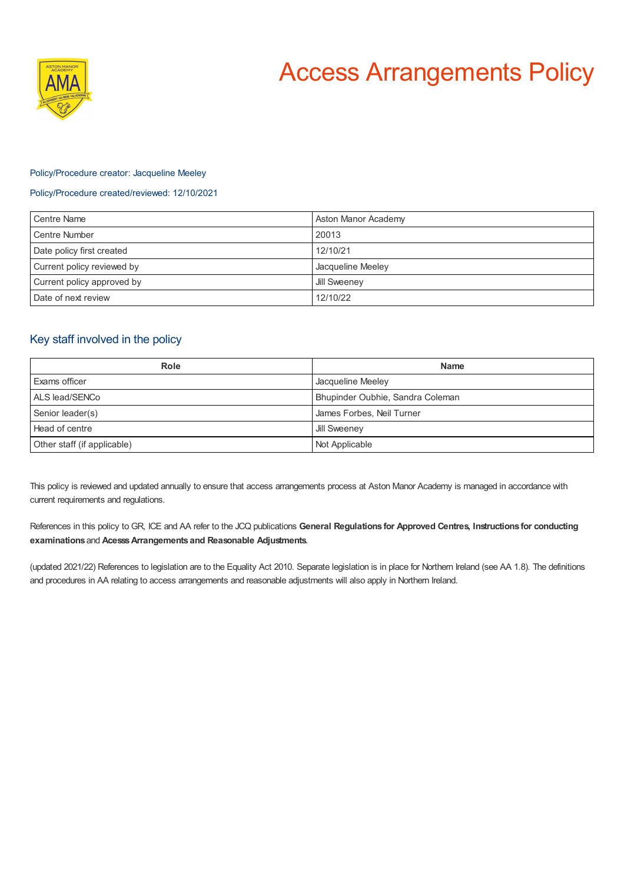



## Policy/Procedure creator: Jacqueline Meeley

## Policy/Procedure created/reviewed: 12/10/2021

| Centre Name                | Aston Manor Academy |
|----------------------------|---------------------|
| Centre Number              | 20013               |
| Date policy first created  | 12/10/21            |
| Current policy reviewed by | Jacqueline Meeley   |
| Current policy approved by | <b>Jill Sweeney</b> |
| Date of next review        | 12/10/22            |

# Key staff involved in the policy

| Role                        | <b>Name</b>                      |
|-----------------------------|----------------------------------|
| <b>Exams officer</b>        | Jacqueline Meeley                |
| ALS lead/SENCo              | Bhupinder Oubhie, Sandra Coleman |
| Senior leader(s)            | James Forbes, Neil Turner        |
| Head of centre              | Jill Sweeney                     |
| Other staff (if applicable) | Not Applicable                   |

This policy is reviewed and updated annually to ensure that access arrangements process at Aston Manor Academy is managed in accordance with current requirements and regulations.

References in this policy to GR, ICE and AA refer to the JCQ publications **General Regulations for Approved Centres, Instructions for conducting examinations** and **AcesssArrangements and Reasonable Adjustments**.

(updated 2021/22) References to legislation are to the Equality Act 2010. Separate legislation is in place for Northern Ireland (see AA 1.8). The definitions and procedures in AA relating to access arrangements and reasonable adjustments will also apply in Northern Ireland.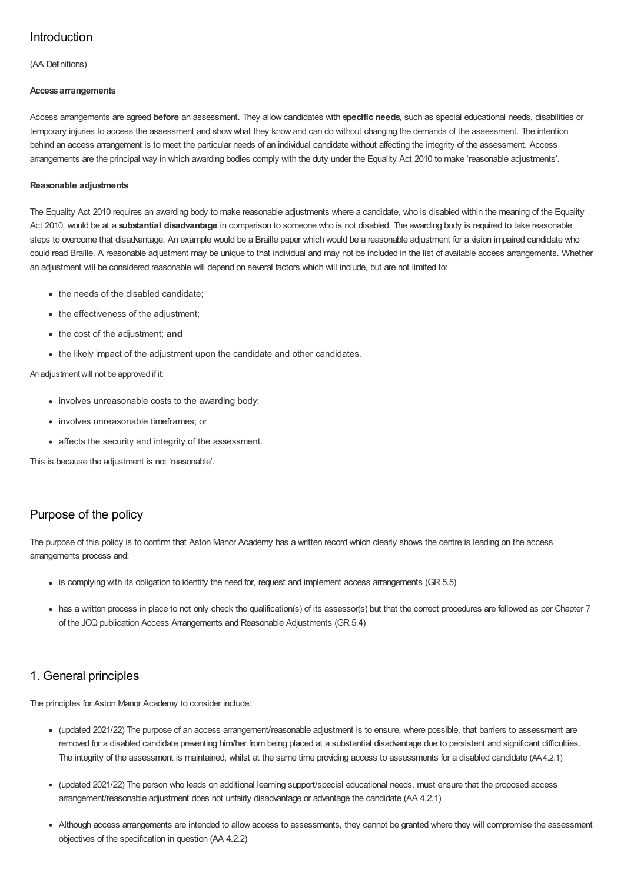# Introduction

(AA Definitions)

### **Access arrangements**

Access arrangements are agreed **before** an assessment. They allow candidates with **specific needs**, such as special educational needs, disabilities or temporary injuries to access the assessment and show what they know and can do without changing the demands of the assessment. The intention behind an access arrangement is to meet the particular needs of an individual candidate without affecting the integrity of the assessment. Access arrangements are the principal way in which awarding bodies comply with the duty under the Equality Act 2010 to make 'reasonable adjustments'.

### **Reasonable adjustments**

The Equality Act 2010 requires an awarding body to make reasonable adjustments where a candidate, who is disabled within the meaning of the Equality Act 2010, would be at a **substantial disadvantage** in comparison to someone who is not disabled. The awarding body is required to take reasonable steps to overcome that disadvantage. An example would be a Braille paper which would be a reasonable adjustment for a vision impaired candidate who could read Braille. A reasonable adjustment may be unique to that individual and may not be included in the list of available access arrangements. Whether an adjustment will be considered reasonable will depend on several factors which will include, but are not limited to:

- the needs of the disabled candidate;
- the effectiveness of the adjustment;
- the cost of the adjustment; **and**
- the likely impact of the adjustment upon the candidate and other candidates.

### An adjustmentwill not be approved if it:

- involves unreasonable costs to the awarding body:
- involves unreasonable timeframes; or
- affects the security and integrity of the assessment.

This is because the adjustment is not 'reasonable'.

# Purpose of the policy

The purpose of this policy is to confirm that Aston Manor Academy has a written record which clearly shows the centre is leading on the access arrangements process and:

- is complying with its obligation to identify the need for, request and implement access arrangements (GR 5.5)
- has a written process in place to not only check the qualification(s) of its assessor(s) but that the correct procedures are followed as per Chapter 7 of the JCQ publication Access Arrangements and Reasonable Adjustments (GR 5.4)

# 1. General principles

The principles for Aston Manor Academy to consider include:

- (updated 2021/22) The purpose of an access arrangement/reasonable adjustment is to ensure, where possible, that barriers to assessment are removed for a disabled candidate preventing him/her from being placed at a substantial disadvantage due to persistent and significant difficulties. The integrity of the assessment is maintained, whilst at the same time providing access to assessments for a disabled candidate (AA4.2.1)
- (updated 2021/22) The person who leads on additional learning support/special educational needs, must ensure that the proposed access arrangement/reasonable adjustment does not unfairly disadvantage or advantage the candidate (AA 4.2.1)
- Although access arrangements are intended to allow access to assessments, they cannot be granted where they will compromise the assessment objectives of the specification in question (AA 4.2.2)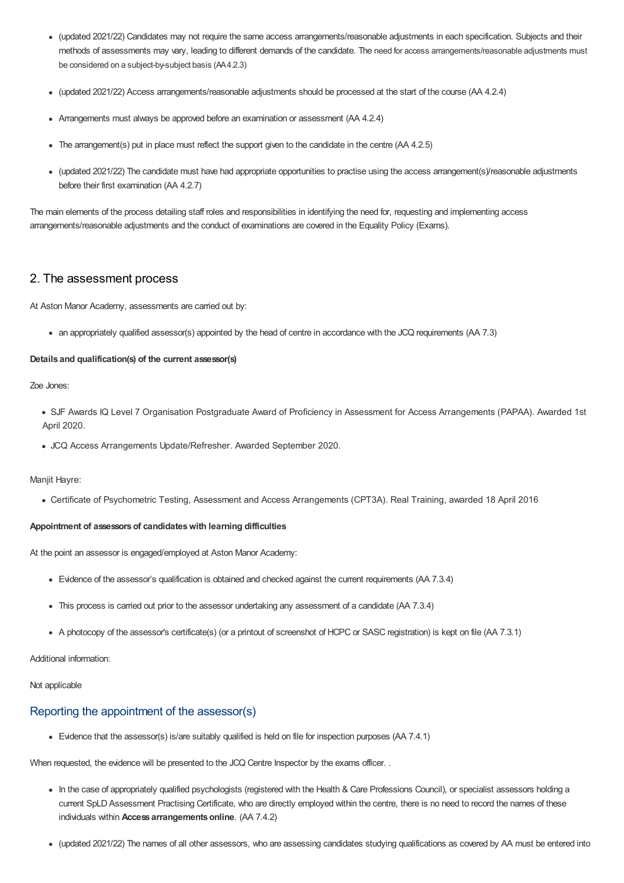- (updated 2021/22) Candidates may not require the same access arrangements/reasonable adjustments in each specification. Subjects and their methods of assessments may vary, leading to different demands of the candidate. The need for access arrangements/reasonable adjustments must be considered on a subject-by-subject basis (AA4.2.3)
- (updated 2021/22) Access arrangements/reasonable adjustments should be processed at the start of the course (AA 4.2.4)
- Arrangements must always be approved before an examination or assessment (AA 4.2.4)
- The arrangement(s) put in place must reflect the support given to the candidate in the centre (AA 4.2.5)
- (updated 2021/22) The candidate must have had appropriate opportunities to practise using the access arrangement(s)/reasonable adjustments before their first examination (AA 4.2.7)

The main elements of the process detailing staff roles and responsibilities in identifying the need for, requesting and implementing access arrangements/reasonable adjustments and the conduct of examinations are covered in the Equality Policy (Exams).

# 2. The assessment process

At Aston Manor Academy, assessments are carried out by:

an appropriately qualified assessor(s) appointed by the head of centre in accordance with the JCQ requirements (AA 7.3)

#### **Details and qualification(s) of the current assessor(s)**

Zoe Jones:

- SJF Awards IQ Level 7 Organisation Postgraduate Award of Proficiency in Assessment for Access Arrangements (PAPAA). Awarded 1st April 2020.
- JCQ Access Arrangements Update/Refresher. Awarded September 2020.

Maniit Havre:

Certificate of Psychometric Testing, Assessment and Access Arrangements (CPT3A). Real Training, awarded 18 April 2016

### **Appointment of assessorsof candidateswith learning difficulties**

At the point an assessor is engaged/employed at Aston Manor Academy:

- Evidence of the assessor's qualification is obtained and checked against the current requirements (AA 7.3.4)
- This process is carried out prior to the assessor undertaking any assessment of a candidate (AA 7.3.4)
- A photocopy of the assessor's certificate(s) (or a printout of screenshot of HCPC or SASC registration) is kept on file (AA 7.3.1)

Additional information:

Not applicable

## Reporting the appointment of the assessor(s)

Evidence that the assessor(s) is/are suitably qualified is held on file for inspection purposes (AA 7.4.1)

When requested, the evidence will be presented to the JCQ Centre Inspector by the exams officer. .

- In the case of appropriately qualified psychologists (registered with the Health & Care Professions Council), or specialist assessors holding a current SpLD Assessment Practising Certificate, who are directly employed within the centre, there is no need to record the names of these individuals within **Access arrangementsonline**. (AA 7.4.2)
- (updated 2021/22) The names of all other assessors, who are assessing candidates studying qualifications as covered by AA must be entered into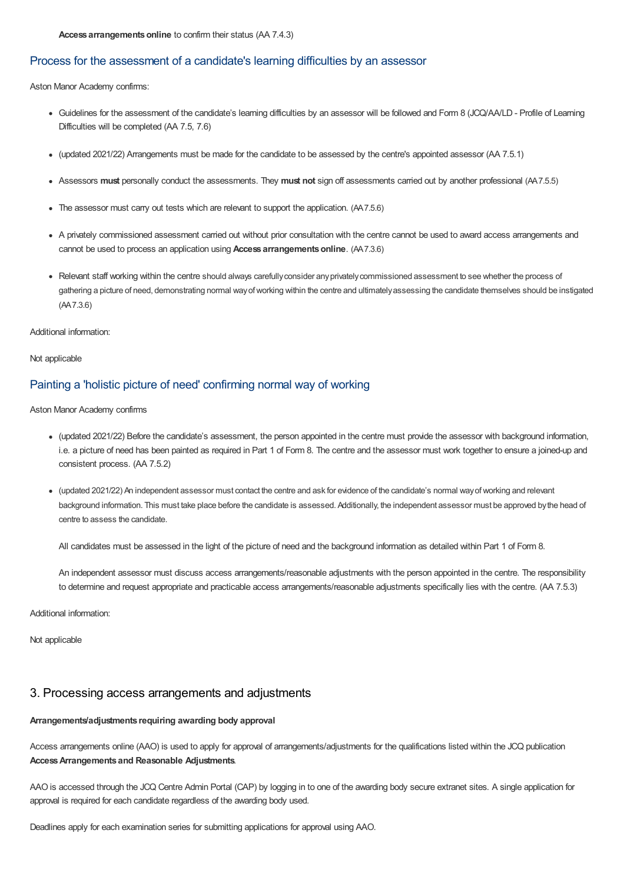## Process for the assessment of a candidate's learning difficulties by an assessor

Aston Manor Academy confirms:

- Guidelines for the assessment of the candidate's learning difficulties by an assessor will be followed and Form 8 (JCQ/AA/LD Profile of Learning Difficulties will be completed (AA 7.5, 7.6)
- (updated 2021/22) Arrangements must be made for the candidate to be assessed by the centre's appointed assessor (AA 7.5.1)
- Assessors **must** personally conduct the assessments. They **must not** sign off assessments carried out by another professional (AA7.5.5)
- The assessor must carry out tests which are relevant to support the application. (AA7.5.6)
- A privately commissioned assessment carried out without prior consultation with the centre cannot be used to award access arrangements and cannot be used to process an application using **Access arrangementsonline**. (AA7.3.6)
- Relevant staff working within the centre should always carefullyconsider anyprivatelycommissioned assessment to see whether the process of gathering a picture of need, demonstrating normal wayofworking within the centre and ultimatelyassessing the candidate themselves should be instigated (AA7.3.6)

Additional information:

Not applicable

# Painting a 'holistic picture of need' confirming normal way of working

Aston Manor Academy confirms

- (updated 2021/22) Before the candidate's assessment, the person appointed in the centre must provide the assessor with background information, i.e. a picture of need has been painted as required in Part 1 of Form 8. The centre and the assessor must work together to ensure a joined-up and consistent process. (AA 7.5.2)
- (updated 2021/22) An independent assessor must contact the centre and ask for evidence of the candidate's normal wayofworking and relevant background information. This must take place before the candidate is assessed. Additionally, the independent assessor must be approved bythe head of centre to assess the candidate.

All candidates must be assessed in the light of the picture of need and the background information as detailed within Part 1 of Form 8.

An independent assessor must discuss access arrangements/reasonable adjustments with the person appointed in the centre. The responsibility to determine and request appropriate and practicable access arrangements/reasonable adjustments specifically lies with the centre. (AA 7.5.3)

Additional information:

Not applicable

## 3. Processing access arrangements and adjustments

#### **Arrangements/adjustments requiring awarding body approval**

Access arrangements online (AAO) is used to apply for approval of arrangements/adjustments for the qualifications listed within the JCQ publication **AccessArrangements and Reasonable Adjustments**.

AAO is accessed through the JCQ Centre Admin Portal (CAP) by logging in to one of the awarding body secure extranet sites. A single application for approval is required for each candidate regardless of the awarding body used.

Deadlines apply for each examination series for submitting applications for approval using AAO.